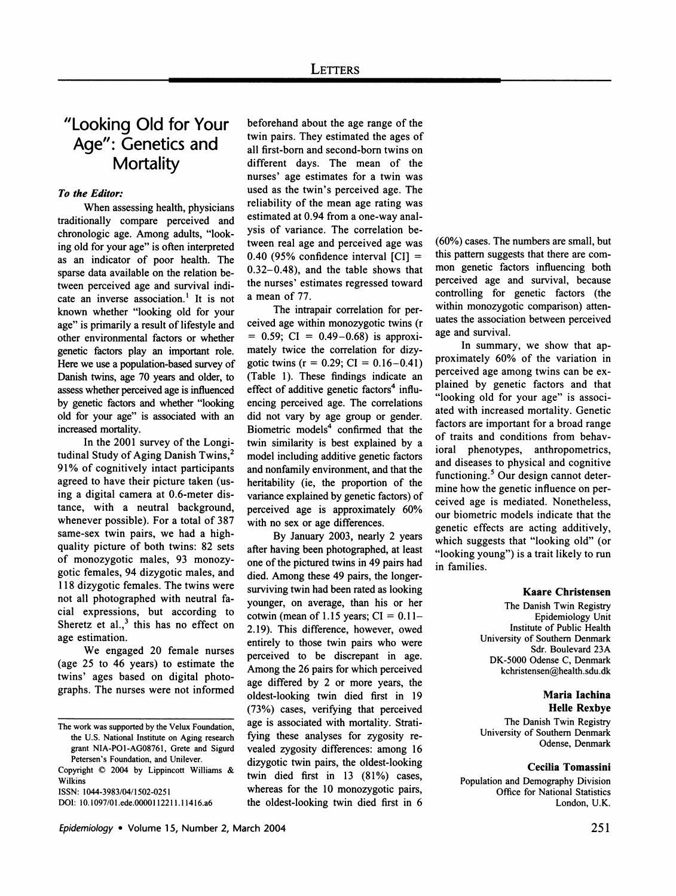# **"Looking Old for Your Age": Genetics and Mortality**

# **To the Editor:**

**When assessing health, physicians traditionally compare perceived and chronologic age. Among adults, "look ing old for your age" is often interpreted as an indicator of poor health. The sparse data available on the relation be**  tween perceived age and survival indi**cate an inverse association.' It is not known whether "looking old for your age" is primarily a result of lifestyle and other environmental factors or whether genetic factors play an important role. Here we use a population-based survey of Danish twins, age 70 years and older, to assess whether perceived age is influenced by genetic factors and whether "looking old for your age" is associated with an increased mortality.** 

In the 2001 survey of the Longi**tudinal Study of Aging Danish Twins,2 91% of cognitively intact participants agreed to have their picture taken (us ing a digital camera at 0.6-meter dis tance, with a neutral background, whenever possible). For a total of 387**  same-sex twin pairs, we had a high**quality picture of both twins: 82 sets of monozygotic males, 93 monozy gotic females, 94 dizygotic males, and 118 dizygotic females. The twins were**  not all photographed with neutral fa**cial expressions, but according to**  Sheretz et al.,<sup>3</sup> this has no effect on **age estimation.** 

**We engaged 20 female nurses (age 25 to 46 years) to estimate the**  twins' ages based on digital photo**graphs. The nurses were not informed** 

**Copyright C) 2004 by Lippincott Williams & Wilkins** 

**ISSN: 1044-3983/04/1502-0251** 

**DOI: 10.1097/01.ede.0000112211.11416.a6** 

**beforehand about the age range of the twin pairs. They estimated the ages of all first-born and second-born twins on different days. The mean of the nurses' age estimates for a twin was used as the twin's perceived age. The reliability of the mean age rating was estimated at 0.94 from a one-way anal ysis of variance. The correlation be tween real age and perceived age was 0.40 (95% confidence interval [CI] = 0.32-0.48), and the table shows that the nurses' estimates regressed toward a mean of 77.** 

The intrapair correlation for per**ceived age within monozygotic twins (r**   $= 0.59$ ; CI  $= 0.49 - 0.68$ ) is approximately twice the correlation for dizy**gotic twins (r = 0.29; CI = 0.16-0.41) (Table 1). These findings indicate an**  effect of additive genetic factors<sup>4</sup> influ**encing perceived age. The correlations did not vary by age group or gender.**  Biometric models<sup>4</sup> confirmed that the **twin similarity is best explained by a model including additive genetic factors and nonfamily environment, and that the heritability (ie, the proportion of the variance explained by genetic factors) of perceived age is approximately 60% with no sex or age differences.** 

**By January 2003, nearly 2 years after having been photographed, at least one of the pictured twins in 49 pairs had died. Among these 49 pairs, the longer surviving twin had been rated as looking younger, on average, than his or her**  cotwin (mean of 1.15 years;  $CI = 0.11 -$ **2.19). This difference, however, owed entirely to those twin pairs who were perceived to be discrepant in age. Among the 26 pairs for which perceived age differed by 2 or more years, the oldest-looking twin died first in 19 (73%) cases, verifying that perceived**  age is associated with mortality. Stratifying these analyses for zygosity re**vealed zygosity differences: among 16 dizygotic twin pairs, the oldest-looking**  twin died first in 13 (81%) cases, **whereas for the 10 monozygotic pairs, the oldest-looking twin died first in 6** 

**(60%) cases. The numbers are small, but this pattern suggests that there are com mon genetic factors influencing both perceived age and survival, because controlling for genetic factors (the**  within monozygotic comparison) atten**uates the association between perceived age and survival.** 

In summary, we show that ap**proximately 60% of the variation in perceived age among twins can be ex plained by genetic factors and that "looking old for your age" is associ ated with increased mortality. Genetic factors are important for a broad range**  of traits and conditions from behav**ioral phenotypes, anthropometrics, and diseases to physical and cognitive functioning.5 Our design cannot deter mine how the genetic influence on per ceived age is mediated. Nonetheless, our biometric models indicate that the genetic effects are acting additively, which suggests that "looking old" (or "looking young") is a trait likely to run in families.** 

#### **Kaare Christensen**

**The Danish Twin Registry Epidemiology Unit Institute of Public Health University of Southern Denmark Sdr. Boulevard 23A DK-5000 Odense C, Denmark kchristensen@health.sdu.dk** 

# **Maria lachina Helle Rexbye**

**The Danish Twin Registry University of Southern Denmark Odense, Denmark** 

#### **Cecilia Tomassini**

**Population and Demography Division Office for National Statistics London, U.K.** 

**The work was supported by the Velux Foundation, the U.S. National Institute on Aging research grant NIA-PO1-AG08761, Grete and Sigurd Petersen's Foundation, and Unilever.**